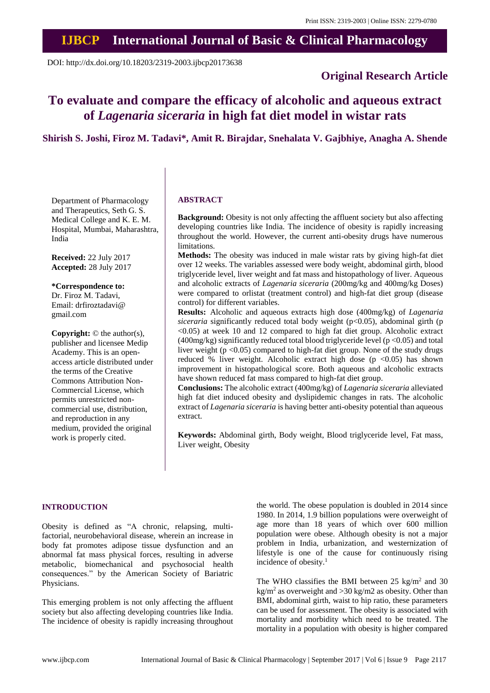## **IJBCP International Journal of Basic & Clinical Pharmacology**

DOI: http://dx.doi.org/10.18203/2319-2003.ijbcp20173638

## **Original Research Article**

# **To evaluate and compare the efficacy of alcoholic and aqueous extract of** *Lagenaria siceraria* **in high fat diet model in wistar rats**

## **Shirish S. Joshi, Firoz M. Tadavi\*, Amit R. Birajdar, Snehalata V. Gajbhiye, Anagha A. Shende**

Department of Pharmacology and Therapeutics, Seth G. S. Medical College and K. E. M. Hospital, Mumbai, Maharashtra, India

**Received:** 22 July 2017 **Accepted:** 28 July 2017

**\*Correspondence to:** Dr. Firoz M. Tadavi, Email: drfiroztadavi@ gmail.com

**Copyright:** © the author(s), publisher and licensee Medip Academy. This is an openaccess article distributed under the terms of the Creative Commons Attribution Non-Commercial License, which permits unrestricted noncommercial use, distribution, and reproduction in any medium, provided the original work is properly cited.

#### **ABSTRACT**

**Background:** Obesity is not only affecting the affluent society but also affecting developing countries like India. The incidence of obesity is rapidly increasing throughout the world. However, the current anti-obesity drugs have numerous limitations.

**Methods:** The obesity was induced in male wistar rats by giving high-fat diet over 12 weeks. The variables assessed were body weight, abdominal girth, blood triglyceride level, liver weight and fat mass and histopathology of liver. Aqueous and alcoholic extracts of *Lagenaria siceraria* (200mg/kg and 400mg/kg Doses) were compared to orlistat (treatment control) and high-fat diet group (disease control) for different variables.

**Results:** Alcoholic and aqueous extracts high dose (400mg/kg) of *Lagenaria*  siceraria significantly reduced total body weight (p<0.05), abdominal girth (p <0.05) at week 10 and 12 compared to high fat diet group. Alcoholic extract (400mg/kg) significantly reduced total blood triglyceride level ( $p < 0.05$ ) and total liver weight ( $p < 0.05$ ) compared to high-fat diet group. None of the study drugs reduced % liver weight. Alcoholic extract high dose  $(p \le 0.05)$  has shown improvement in histopathological score. Both aqueous and alcoholic extracts have shown reduced fat mass compared to high-fat diet group.

**Conclusions:** The alcoholic extract (400mg/kg) of *Lagenaria siceraria* alleviated high fat diet induced obesity and dyslipidemic changes in rats. The alcoholic extract of *Lagenaria siceraria* is having better anti-obesity potential than aqueous extract.

**Keywords:** Abdominal girth, Body weight, Blood triglyceride level, Fat mass, Liver weight, Obesity

#### **INTRODUCTION**

Obesity is defined as "A chronic, relapsing, multifactorial, neurobehavioral disease, wherein an increase in body fat promotes adipose tissue dysfunction and an abnormal fat mass physical forces, resulting in adverse metabolic, biomechanical and psychosocial health consequences." by the American Society of Bariatric Physicians.

This emerging problem is not only affecting the affluent society but also affecting developing countries like India. The incidence of obesity is rapidly increasing throughout the world. The obese population is doubled in 2014 since 1980. In 2014, 1.9 billion populations were overweight of age more than 18 years of which over 600 million population were obese. Although obesity is not a major problem in India, urbanization, and westernization of lifestyle is one of the cause for continuously rising incidence of obesity. 1

The WHO classifies the BMI between  $25 \text{ kg/m}^2$  and  $30$ kg/m<sup>2</sup> as overweight and >30 kg/m2 as obesity. Other than BMI, abdominal girth, waist to hip ratio, these parameters can be used for assessment. The obesity is associated with mortality and morbidity which need to be treated. The mortality in a population with obesity is higher compared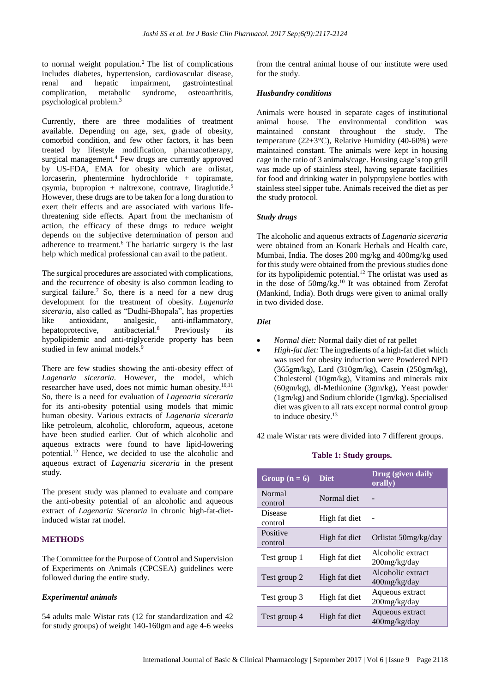to normal weight population. <sup>2</sup> The list of complications includes diabetes, hypertension, cardiovascular disease, renal and hepatic impairment, gastrointestinal complication, metabolic syndrome, osteoarthritis, psychological problem. 3

Currently, there are three modalities of treatment available. Depending on age, sex, grade of obesity, comorbid condition, and few other factors, it has been treated by lifestyle modification, pharmacotherapy, surgical management. <sup>4</sup> Few drugs are currently approved by US-FDA, EMA for obesity which are orlistat, lorcaserin, phentermine hydrochloride + topiramate, qsymia, bupropion + naltrexone, contrave, liraglutide. 5 However, these drugs are to be taken for a long duration to exert their effects and are associated with various lifethreatening side effects. Apart from the mechanism of action, the efficacy of these drugs to reduce weight depends on the subjective determination of person and adherence to treatment.<sup>6</sup> The bariatric surgery is the last help which medical professional can avail to the patient.

The surgical procedures are associated with complications, and the recurrence of obesity is also common leading to surgical failure.<sup>7</sup> So, there is a need for a new drug development for the treatment of obesity. *Lagenaria siceraria*, also called as "Dudhi-Bhopala", has properties like antioxidant, analgesic, anti-inflammatory, hepatoprotective, antibacterial.<sup>8</sup> Previously its hypolipidemic and anti-triglyceride property has been studied in few animal models. 9

There are few studies showing the anti-obesity effect of *Lagenaria siceraria*. However, the model, which researcher have used, does not mimic human obesity.<sup>10,11</sup> So, there is a need for evaluation of *Lagenaria siceraria* for its anti-obesity potential using models that mimic human obesity. Various extracts of *Lagenaria siceraria* like petroleum, alcoholic, chloroform, aqueous, acetone have been studied earlier. Out of which alcoholic and aqueous extracts were found to have lipid-lowering potential. <sup>12</sup> Hence, we decided to use the alcoholic and aqueous extract of *Lagenaria siceraria* in the present study.

The present study was planned to evaluate and compare the anti-obesity potential of an alcoholic and aqueous extract of *Lagenaria Siceraria* in chronic high-fat-dietinduced wistar rat model.

## **METHODS**

The Committee for the Purpose of Control and Supervision of Experiments on Animals (CPCSEA) guidelines were followed during the entire study.

## *Experimental animals*

54 adults male Wistar rats (12 for standardization and 42 for study groups) of weight 140-160gm and age 4-6 weeks from the central animal house of our institute were used for the study.

#### *Husbandry conditions*

Animals were housed in separate cages of institutional animal house. The environmental condition was maintained constant throughout the study. The temperature ( $22\pm3$ °C), Relative Humidity (40-60%) were maintained constant. The animals were kept in housing cage in the ratio of 3 animals/cage. Housing cage'stop grill was made up of stainless steel, having separate facilities for food and drinking water in polypropylene bottles with stainless steel sipper tube. Animals received the diet as per the study protocol.

## *Study drugs*

The alcoholic and aqueous extracts of *Lagenaria siceraria* were obtained from an Konark Herbals and Health care, Mumbai, India. The doses 200 mg/kg and 400mg/kg used for this study were obtained from the previous studies done for its hypolipidemic potential. <sup>12</sup> The orlistat was used as in the dose of 50mg/kg. <sup>10</sup> It was obtained from Zerofat (Mankind, India). Both drugs were given to animal orally in two divided dose.

## *Diet*

- *Normal diet:* Normal daily diet of rat pellet
- *High-fat diet:* The ingredients of a high-fat diet which was used for obesity induction were Powdered NPD (365gm/kg), Lard (310gm/kg), Casein (250gm/kg), Cholesterol (10gm/kg), Vitamins and minerals mix (60gm/kg), dl-Methionine (3gm/kg), Yeast powder (1gm/kg) and Sodium chloride (1gm/kg). Specialised diet was given to all rats except normal control group to induce obesity. 13

42 male Wistar rats were divided into 7 different groups.

| Group $(n = 6)$     | <b>Diet</b>   | Drug (given daily<br>orally)         |
|---------------------|---------------|--------------------------------------|
| Normal<br>control   | Normal diet   |                                      |
| Disease<br>control  | High fat diet |                                      |
| Positive<br>control | High fat diet | Orlistat 50mg/kg/day                 |
| Test group 1        | High fat diet | Alcoholic extract<br>$200$ mg/kg/day |
| Test group 2        | High fat diet | Alcoholic extract<br>$400$ mg/kg/day |
| Test group 3        | High fat diet | Aqueous extract<br>200mg/kg/day      |
| Test group 4        | High fat diet | Aqueous extract<br>400mg/kg/day      |
|                     |               |                                      |

## **Table 1: Study groups.**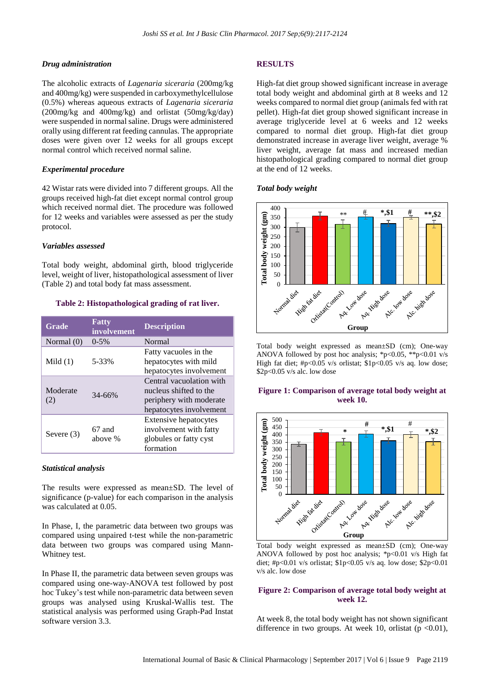## *Drug administration*

The alcoholic extracts of *Lagenaria siceraria* (200mg/kg and 400mg/kg) were suspended in carboxymethylcellulose (0.5%) whereas aqueous extracts of *Lagenaria siceraria* (200mg/kg and 400mg/kg) and orlistat (50mg/kg/day) were suspended in normal saline. Drugs were administered orally using different rat feeding cannulas. The appropriate doses were given over 12 weeks for all groups except normal control which received normal saline.

## *Experimental procedure*

42 Wistar rats were divided into 7 different groups. All the groups received high-fat diet except normal control group which received normal diet. The procedure was followed for 12 weeks and variables were assessed as per the study protocol.

## *Variables assessed*

Total body weight, abdominal girth, blood triglyceride level, weight of liver, histopathological assessment of liver (Table 2) and total body fat mass assessment.

## **Table 2: Histopathological grading of rat liver.**

| <b>Grade</b>    | Fatty<br>involvement | <b>Description</b>                                                                                       |
|-----------------|----------------------|----------------------------------------------------------------------------------------------------------|
| Normal $(0)$    | $0-5%$               | Normal                                                                                                   |
| Mild $(1)$      | 5-33%                | Fatty vacuoles in the<br>hepatocytes with mild<br>hepatocytes involvement                                |
| Moderate<br>(2) | $34 - 66%$           | Central vacuolation with<br>nucleus shifted to the<br>periphery with moderate<br>hepatocytes involvement |
| Severe $(3)$    | 67 and<br>above %    | Extensive hepatocytes<br>involvement with fatty<br>globules or fatty cyst<br>formation                   |

## *Statistical analysis*

The results were expressed as mean±SD. The level of significance (p-value) for each comparison in the analysis was calculated at 0.05.

In Phase, I, the parametric data between two groups was compared using unpaired t-test while the non-parametric data between two groups was compared using Mann-Whitney test.

In Phase II, the parametric data between seven groups was compared using one-way-ANOVA test followed by post hoc Tukey's test while non-parametric data between seven groups was analysed using Kruskal-Wallis test. The statistical analysis was performed using Graph-Pad Instat software version 3.3.

## **RESULTS**

High-fat diet group showed significant increase in average total body weight and abdominal girth at 8 weeks and 12 weeks compared to normal diet group (animals fed with rat pellet). High-fat diet group showed significant increase in average triglyceride level at 6 weeks and 12 weeks compared to normal diet group. High-fat diet group demonstrated increase in average liver weight, average % liver weight, average fat mass and increased median histopathological grading compared to normal diet group at the end of 12 weeks.

## *Total body weight*



Total body weight expressed as mean±SD (cm); One-way ANOVA followed by post hoc analysis; \*p<0.05, \*\*p<0.01 v/s High fat diet; #p<0.05 v/s orlistat; \$1p<0.05 v/s aq. low dose; \$2p<0.05 v/s alc. low dose

## **Figure 1: Comparison of average total body weight at week 10.**



Total body weight expressed as mean±SD (cm); One-way ANOVA followed by post hoc analysis; \*p<0.01 v/s High fat diet; #p<0.01 v/s orlistat; \$1p<0.05 v/s aq. low dose; \$2p<0.01 v/s alc. low dose

## **Figure 2: Comparison of average total body weight at week 12.**

At week 8, the total body weight has not shown significant difference in two groups. At week 10, orlistat ( $p \le 0.01$ ),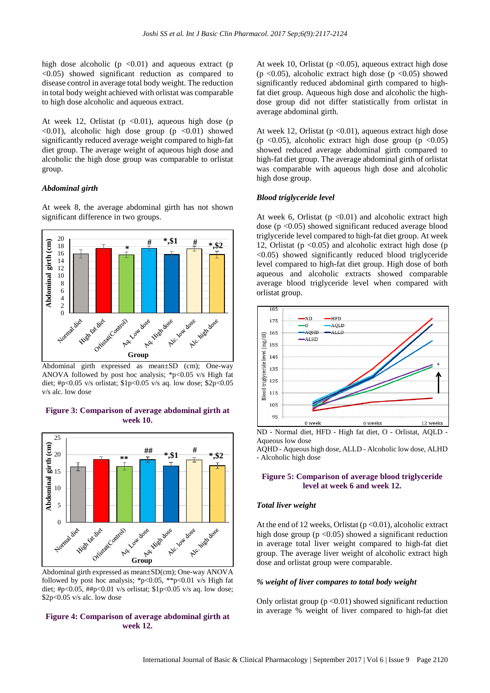high dose alcoholic ( $p \le 0.01$ ) and aqueous extract ( $p$  $\leq 0.05$ ) showed significant reduction as compared to disease control in average total body weight. The reduction in total body weight achieved with orlistat was comparable to high dose alcoholic and aqueous extract.

At week 12, Orlistat ( $p \le 0.01$ ), aqueous high dose (p  $\langle 0.01 \rangle$ , alcoholic high dose group (p  $\langle 0.01 \rangle$  showed significantly reduced average weight compared to high-fat diet group. The average weight of aqueous high dose and alcoholic the high dose group was comparable to orlistat group.

## *Abdominal girth*

At week 8, the average abdominal girth has not shown significant difference in two groups.



Abdominal girth expressed as mean±SD (cm); One-way ANOVA followed by post hoc analysis; \*p<0.05 v/s High fat diet; #p<0.05 v/s orlistat; \$1p<0.05 v/s aq. low dose; \$2p<0.05 v/s alc. low dose

**Figure 3: Comparison of average abdominal girth at week 10.**



Abdominal girth expressed as mean±SD(cm); One-way ANOVA followed by post hoc analysis; \*p<0.05, \*\*p<0.01 v/s High fat diet; #p<0.05, ##p<0.01 v/s orlistat;  $\pmb{\text{1p}}$ <0.05 v/s aq. low dose; \$2p<0.05 v/s alc. low dose

## **Figure 4: Comparison of average abdominal girth at week 12.**

At week 10, Orlistat ( $p < 0.05$ ), aqueous extract high dose (p <0.05), alcoholic extract high dose (p <0.05) showed significantly reduced abdominal girth compared to highfat diet group. Aqueous high dose and alcoholic the highdose group did not differ statistically from orlistat in average abdominal girth.

At week 12, Orlistat ( $p$  <0.01), aqueous extract high dose (p  $\langle 0.05 \rangle$ , alcoholic extract high dose group (p  $\langle 0.05 \rangle$ ) showed reduced average abdominal girth compared to high-fat diet group. The average abdominal girth of orlistat was comparable with aqueous high dose and alcoholic high dose group.

#### *Blood triglyceride level*

At week 6, Orlistat ( $p \le 0.01$ ) and alcoholic extract high dose ( $p < 0.05$ ) showed significant reduced average blood triglyceride level compared to high-fat diet group. At week 12, Orlistat ( $p \le 0.05$ ) and alcoholic extract high dose ( $p$ ) <0.05) showed significantly reduced blood triglyceride level compared to high-fat diet group. High dose of both aqueous and alcoholic extracts showed comparable average blood triglyceride level when compared with orlistat group.



ND - Normal diet, HFD - High fat diet, O - Orlistat, AQLD - Aqueous low dose

AQHD - Aqueous high dose, ALLD - Alcoholic low dose, ALHD - Alcoholic high dose

## **Figure 5: Comparison of average blood triglyceride level at week 6 and week 12.**

#### *Total liver weight*

At the end of 12 weeks, Orlistat ( $p < 0.01$ ), alcoholic extract high dose group  $(p \le 0.05)$  showed a significant reduction in average total liver weight compared to high-fat diet group. The average liver weight of alcoholic extract high dose and orlistat group were comparable.

#### *% weight of liver compares to total body weight*

Only orlistat group ( $p < 0.01$ ) showed significant reduction in average % weight of liver compared to high-fat diet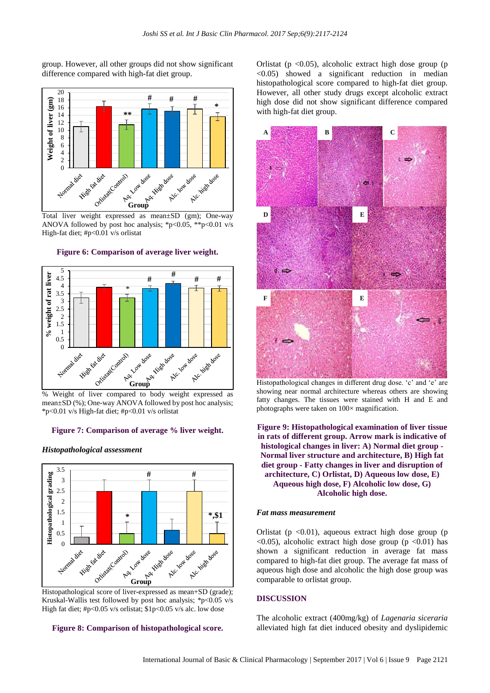group. However, all other groups did not show significant difference compared with high-fat diet group.



ANOVA followed by post hoc analysis; \*p<0.05, \*\*p<0.01 v/s High-fat diet; #p<0.01 v/s orlistat





mean±SD (%); One-way ANOVA followed by post hoc analysis; \*p<0.01 v/s High-fat diet; #p<0.01 v/s orlistat

#### **Figure 7: Comparison of average % liver weight.**

#### *Histopathological assessment*



Kruskal-Wallis test followed by post hoc analysis;  $*p<0.05$  v/s High fat diet; #p<0.05 v/s orlistat; \$1p<0.05 v/s alc. low dose

#### **Figure 8: Comparison of histopathological score.**

Orlistat ( $p \le 0.05$ ), alcoholic extract high dose group ( $p$  $\leq 0.05$ ) showed a significant reduction in median histopathological score compared to high-fat diet group. However, all other study drugs except alcoholic extract high dose did not show significant difference compared with high-fat diet group.



Histopathological changes in different drug dose. 'c' and 'e' are showing near normal architecture whereas others are showing fatty changes. The tissues were stained with H and E and photographs were taken on 100× magnification.

**Figure 9: Histopathological examination of liver tissue in rats of different group. Arrow mark is indicative of histological changes in liver: A) Normal diet group - Normal liver structure and architecture, B) High fat diet group - Fatty changes in liver and disruption of architecture, C) Orlistat, D) Aqueous low dose, E) Aqueous high dose, F) Alcoholic low dose, G) Alcoholic high dose.**

#### *Fat mass measurement*

Orlistat ( $p \le 0.01$ ), aqueous extract high dose group ( $p$  $\langle 0.05 \rangle$ , alcoholic extract high dose group (p  $\langle 0.01 \rangle$  has shown a significant reduction in average fat mass compared to high-fat diet group. The average fat mass of aqueous high dose and alcoholic the high dose group was comparable to orlistat group.

## **DISCUSSION**

The alcoholic extract (400mg/kg) of *Lagenaria siceraria* alleviated high fat diet induced obesity and dyslipidemic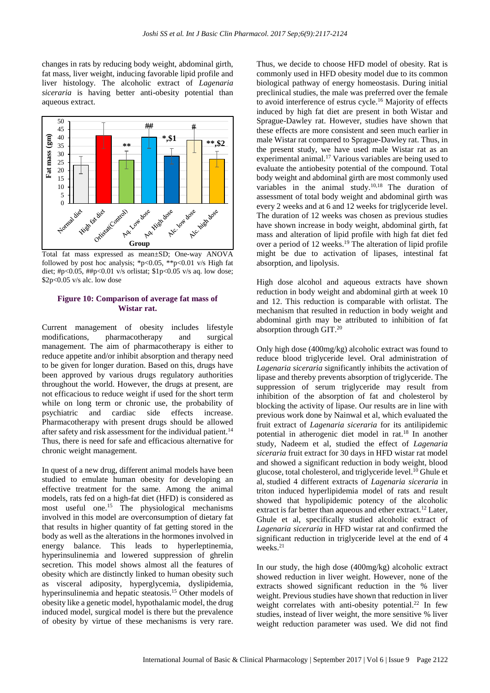changes in rats by reducing body weight, abdominal girth, fat mass, liver weight, inducing favorable lipid profile and liver histology. The alcoholic extract of *Lagenaria siceraria* is having better anti-obesity potential than aqueous extract.



Total fat mass expressed as mean±SD; One-way ANOVA followed by post hoc analysis; \*p<0.05, \*\*p<0.01 v/s High fat diet; #p<0.05, ##p<0.01 v/s orlistat; \$1p<0.05 v/s aq. low dose; \$2p<0.05 v/s alc. low dose

## **Figure 10: Comparison of average fat mass of Wistar rat.**

Current management of obesity includes lifestyle modifications, pharmacotherapy and surgical management. The aim of pharmacotherapy is either to reduce appetite and/or inhibit absorption and therapy need to be given for longer duration. Based on this, drugs have been approved by various drugs regulatory authorities throughout the world. However, the drugs at present, are not efficacious to reduce weight if used for the short term while on long term or chronic use, the probability of psychiatric and cardiac side effects increase. Pharmacotherapy with present drugs should be allowed after safety and risk assessment for the individual patient.<sup>14</sup> Thus, there is need for safe and efficacious alternative for chronic weight management.

In quest of a new drug, different animal models have been studied to emulate human obesity for developing an effective treatment for the same. Among the animal models, rats fed on a high-fat diet (HFD) is considered as most useful one. <sup>15</sup> The physiological mechanisms involved in this model are overconsumption of dietary fat that results in higher quantity of fat getting stored in the body as well as the alterations in the hormones involved in energy balance. This leads to hyperleptinemia, hyperinsulinemia and lowered suppression of ghrelin secretion. This model shows almost all the features of obesity which are distinctly linked to human obesity such as visceral adiposity, hyperglycemia, dyslipidemia, hyperinsulinemia and hepatic steatosis. <sup>15</sup> Other models of obesity like a genetic model, hypothalamic model, the drug induced model, surgical model is there but the prevalence of obesity by virtue of these mechanisms is very rare. Thus, we decide to choose HFD model of obesity. Rat is commonly used in HFD obesity model due to its common biological pathway of energy homeostasis. During initial preclinical studies, the male was preferred over the female to avoid interference of estrus cycle. <sup>16</sup> Majority of effects induced by high fat diet are present in both Wistar and Sprague-Dawley rat. However, studies have shown that these effects are more consistent and seen much earlier in male Wistar rat compared to Sprague-Dawley rat. Thus, in the present study, we have used male Wistar rat as an experimental animal. <sup>17</sup> Various variables are being used to evaluate the antiobesity potential of the compound. Total body weight and abdominal girth are most commonly used variables in the animal study. 10,18 The duration of assessment of total body weight and abdominal girth was every 2 weeks and at 6 and 12 weeks for triglyceride level. The duration of 12 weeks was chosen as previous studies have shown increase in body weight, abdominal girth, fat mass and alteration of lipid profile with high fat diet fed over a period of 12 weeks. <sup>19</sup> The alteration of lipid profile might be due to activation of lipases, intestinal fat absorption, and lipolysis.

High dose alcohol and aqueous extracts have shown reduction in body weight and abdominal girth at week 10 and 12. This reduction is comparable with orlistat. The mechanism that resulted in reduction in body weight and abdominal girth may be attributed to inhibition of fat absorption through GIT.<sup>20</sup>

Only high dose (400mg/kg) alcoholic extract was found to reduce blood triglyceride level. Oral administration of *Lagenaria siceraria* significantly inhibits the activation of lipase and thereby prevents absorption of triglyceride. The suppression of serum triglyceride may result from inhibition of the absorption of fat and cholesterol by blocking the activity of lipase. Our results are in line with previous work done by Nainwal et al, which evaluated the fruit extract of *Lagenaria siceraria* for its antilipidemic potential in atherogenic diet model in rat.<sup>18</sup> In another study, Nadeem et al, studied the effect of *Lagenaria siceraria* fruit extract for 30 days in HFD wistar rat model and showed a significant reduction in body weight, blood glucose, total cholesterol, and triglyceride level.<sup>10</sup> Ghule et al, studied 4 different extracts of *Lagenaria siceraria* in triton induced hyperlipidemia model of rats and result showed that hypolipidemic potency of the alcoholic extract is far better than aqueous and ether extract.<sup>12</sup> Later, Ghule et al, specifically studied alcoholic extract of *Lagenaria siceraria* in HFD wistar rat and confirmed the significant reduction in triglyceride level at the end of 4 weeks.<sup>21</sup>

In our study, the high dose (400mg/kg) alcoholic extract showed reduction in liver weight. However, none of the extracts showed significant reduction in the % liver weight. Previous studies have shown that reduction in liver weight correlates with anti-obesity potential.<sup>22</sup> In few studies, instead of liver weight, the more sensitive % liver weight reduction parameter was used. We did not find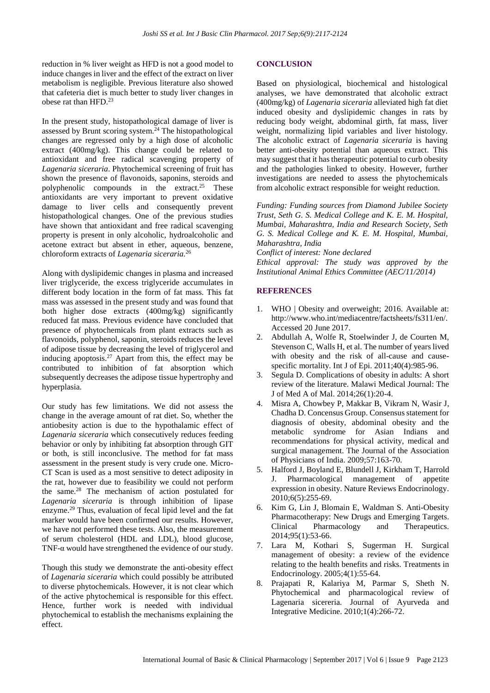reduction in % liver weight as HFD is not a good model to induce changes in liver and the effect of the extract on liver metabolism is negligible. Previous literature also showed that cafeteria diet is much better to study liver changes in obese rat than HFD. 23

In the present study, histopathological damage of liver is assessed by Brunt scoring system. <sup>24</sup> The histopathological changes are regressed only by a high dose of alcoholic extract (400mg/kg). This change could be related to antioxidant and free radical scavenging property of *Lagenaria siceraria*. Phytochemical screening of fruit has shown the presence of flavonoids, saponins, steroids and polyphenolic compounds in the extract. <sup>25</sup> These antioxidants are very important to prevent oxidative damage to liver cells and consequently prevent histopathological changes. One of the previous studies have shown that antioxidant and free radical scavenging property is present in only alcoholic, hydroalcoholic and acetone extract but absent in ether, aqueous, benzene, chloroform extracts of *Lagenaria siceraria.* 26

Along with dyslipidemic changes in plasma and increased liver triglyceride, the excess triglyceride accumulates in different body location in the form of fat mass. This fat mass was assessed in the present study and was found that both higher dose extracts (400mg/kg) significantly reduced fat mass. Previous evidence have concluded that presence of phytochemicals from plant extracts such as flavonoids, polyphenol, saponin, steroids reduces the level of adipose tissue by decreasing the level of triglycerol and inducing apoptosis. <sup>27</sup> Apart from this, the effect may be contributed to inhibition of fat absorption which subsequently decreases the adipose tissue hypertrophy and hyperplasia.

Our study has few limitations. We did not assess the change in the average amount of rat diet. So, whether the antiobesity action is due to the hypothalamic effect of *Lagenaria siceraria* which consecutively reduces feeding behavior or only by inhibiting fat absorption through GIT or both, is still inconclusive. The method for fat mass assessment in the present study is very crude one. Micro-CT Scan is used as a most sensitive to detect adiposity in the rat, however due to feasibility we could not perform the same. <sup>28</sup> The mechanism of action postulated for *Lagenaria siceraria* is through inhibition of lipase enzyme. <sup>29</sup> Thus, evaluation of fecal lipid level and the fat marker would have been confirmed our results. However, we have not performed these tests. Also, the measurement of serum cholesterol (HDL and LDL), blood glucose, TNF- $\alpha$  would have strengthened the evidence of our study.

Though this study we demonstrate the anti-obesity effect of *Lagenaria siceraria* which could possibly be attributed to diverse phytochemicals. However, it is not clear which of the active phytochemical is responsible for this effect. Hence, further work is needed with individual phytochemical to establish the mechanisms explaining the effect.

## **CONCLUSION**

Based on physiological, biochemical and histological analyses, we have demonstrated that alcoholic extract (400mg/kg) of *Lagenaria siceraria* alleviated high fat diet induced obesity and dyslipidemic changes in rats by reducing body weight, abdominal girth, fat mass, liver weight, normalizing lipid variables and liver histology. The alcoholic extract of *Lagenaria siceraria* is having better anti-obesity potential than aqueous extract. This may suggest that it has therapeutic potential to curb obesity and the pathologies linked to obesity. However, further investigations are needed to assess the phytochemicals from alcoholic extract responsible for weight reduction.

*Funding: Funding sources from Diamond Jubilee Society Trust, Seth G. S. Medical College and K. E. M. Hospital, Mumbai, Maharashtra, India and Research Society, Seth G. S. Medical College and K. E. M. Hospital, Mumbai, Maharashtra, India*

*Conflict of interest: None declared Ethical approval: The study was approved by the Institutional Animal Ethics Committee (AEC/11/2014)*

## **REFERENCES**

- 1. WHO | Obesity and overweight; 2016. Available at: http://www.who.int/mediacentre/factsheets/fs311/en/. Accessed 20 June 2017.
- 2. Abdullah A, Wolfe R, Stoelwinder J, de Courten M, Stevenson C, Walls H, et al. The number of years lived with obesity and the risk of all-cause and causespecific mortality. Int J of Epi. 2011;40(4):985-96.
- 3. Segula D. Complications of obesity in adults: A short review of the literature. Malawi Medical Journal: The J of Med A of Mal. 2014;26(1):20-4.
- 4. Misra A, Chowbey P, Makkar B, Vikram N, Wasir J, Chadha D. Concensus Group. Consensus statement for diagnosis of obesity, abdominal obesity and the metabolic syndrome for Asian Indians and recommendations for physical activity, medical and surgical management. The Journal of the Association of Physicians of India. 2009;57:163-70.
- 5. Halford J, Boyland E, Blundell J, Kirkham T, Harrold J. Pharmacological management of appetite expression in obesity. Nature Reviews Endocrinology. 2010;6(5):255-69.
- 6. Kim G, Lin J, Blomain E, Waldman S. Anti-Obesity Pharmacotherapy: New Drugs and Emerging Targets. Clinical Pharmacology and Therapeutics. 2014;95(1):53-66.
- 7. Lara M, Kothari S, Sugerman H. Surgical management of obesity: a review of the evidence relating to the health benefits and risks. Treatments in Endocrinology. 2005;4(1):55-64.
- 8. Prajapati R, Kalariya M, Parmar S, Sheth N. Phytochemical and pharmacological review of Lagenaria sicereria. Journal of Ayurveda and Integrative Medicine. 2010;1(4):266-72.